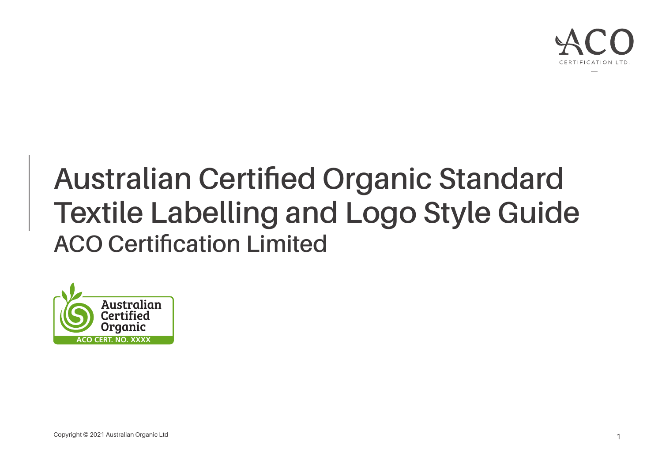

# **Australian Certified Organic Standard Textile Labelling and Logo Style Guide ACO Certification Limited**

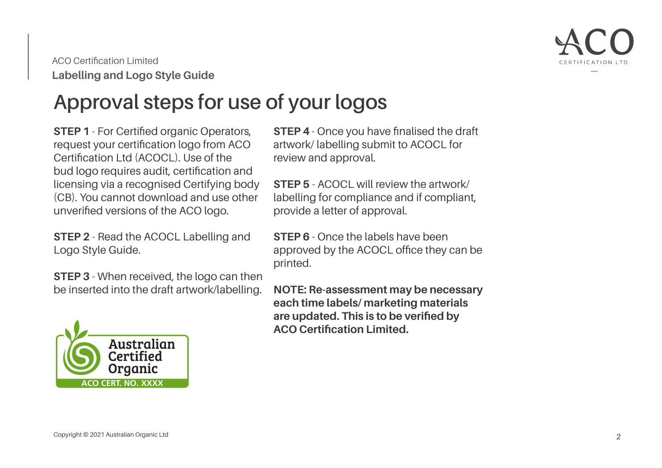

### **Approval steps for use of your logos**

**STEP 1** - For Certified organic Operators, request your certification logo from ACO Certification Ltd (ACOCL). Use of the bud logo requires audit, certification and licensing via a recognised Certifying body (CB). You cannot download and use other unverified versions of the ACO logo.

**STEP 2** - Read the ACOCL Labelling and Logo Style Guide.

**STEP 3** - When received, the logo can then be inserted into the draft artwork/labelling.



**STEP 4** - Once you have finalised the draft artwork/ labelling submit to ACOCL for review and approval.

**STEP 5** - ACOCL will review the artwork/ labelling for compliance and if compliant, provide a letter of approval.

**STEP 6** - Once the labels have been approved by the ACOCL office they can be printed.

**NOTE: Re-assessment may be necessary each time labels/ marketing materials are updated. This is to be verified by ACO Certification Limited.**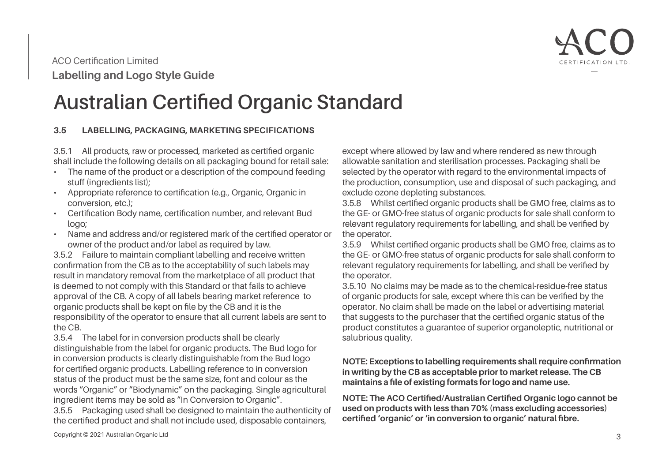

### **Australian Certified Organic Standard**

#### **3.5 LABELLING, PACKAGING, MARKETING SPECIFICATIONS**

3.5.1 All products, raw or processed, marketed as certified organic shall include the following details on all packaging bound for retail sale:

- The name of the product or a description of the compound feeding stuff (ingredients list);
- Appropriate reference to certification (e.g., Organic, Organic in conversion, etc.);
- Certification Body name, certification number, and relevant Bud logo;
- Name and address and/or registered mark of the certified operator or owner of the product and/or label as required by law.

3.5.2 Failure to maintain compliant labelling and receive written confirmation from the CB as to the acceptability of such labels may result in mandatory removal from the marketplace of all product that is deemed to not comply with this Standard or that fails to achieve approval of the CB. A copy of all labels bearing market reference to organic products shall be kept on file by the CB and it is the responsibility of the operator to ensure that all current labels are sent to the CB.

3.5.4 The label for in conversion products shall be clearly distinguishable from the label for organic products. The Bud logo for in conversion products is clearly distinguishable from the Bud logo for certified organic products. Labelling reference to in conversion status of the product must be the same size, font and colour as the words "Organic" or "Biodynamic" on the packaging. Single agricultural ingredient items may be sold as "In Conversion to Organic".

3.5.5 Packaging used shall be designed to maintain the authenticity of the certified product and shall not include used, disposable containers,

except where allowed by law and where rendered as new through allowable sanitation and sterilisation processes. Packaging shall be selected by the operator with regard to the environmental impacts of the production, consumption, use and disposal of such packaging, and exclude ozone depleting substances.

3.5.8 Whilst certified organic products shall be GMO free, claims as to the GE- or GMO-free status of organic products for sale shall conform to relevant regulatory requirements for labelling, and shall be verified by the operator.

3.5.9 Whilst certified organic products shall be GMO free, claims as to the GE- or GMO-free status of organic products for sale shall conform to relevant regulatory requirements for labelling, and shall be verified by the operator.

3.5.10 No claims may be made as to the chemical-residue-free status of organic products for sale, except where this can be verified by the operator. No claim shall be made on the label or advertising material that suggests to the purchaser that the certified organic status of the product constitutes a guarantee of superior organoleptic, nutritional or salubrious quality.

#### **NOTE: Exceptions to labelling requirements shall require confirmation in writing by the CB as acceptable prior to market release. The CB maintains a file of existing formats for logo and name use.**

**NOTE: The ACO Certified/Australian Certified Organic logo cannot be used on products with less than 70% (mass excluding accessories) certified 'organic' or 'in conversion to organic' natural fibre.**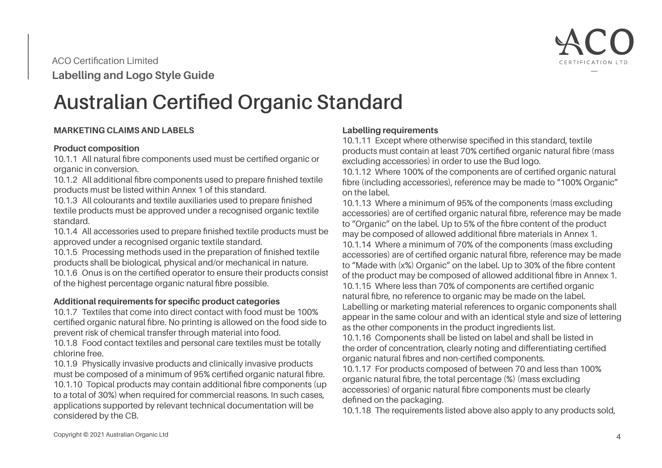

### **Australian Certified Organic Standard**

#### **MARKETING CLAIMS AND LABELS**

#### **Product composition**

10.1.1 All natural fibre components used must be certified organic or organic in conversion.

10.1.2 All additional fibre components used to prepare finished textile products must be listed within Annex 1 of this standard.

10.1.3 All colourants and textile auxiliaries used to prepare finished textile products must be approved under a recognised organic textile standard.

10.1.4 All accessories used to prepare finished textile products must be approved under a recognised organic textile standard.

10.1.5 Processing methods used in the preparation of finished textile products shall be biological, physical and/or mechanical in nature. 10.1.6 Onus is on the certified operator to ensure their products consist of the highest percentage organic natural fibre possible.

#### **Additional requirements for specific product categories**

10.1.7 Textiles that come into direct contact with food must be 100% certified organic natural fibre. No printing is allowed on the food side to prevent risk of chemical transfer through material into food.

10.1.8 Food contact textiles and personal care textiles must be totally chlorine free.

10.1.9 Physically invasive products and clinically invasive products must be composed of a minimum of 95% certified organic natural fibre. 10.1.10 Topical products may contain additional fibre components (up to a total of 30%) when required for commercial reasons. In such cases, applications supported by relevant technical documentation will be considered by the CB.

#### **Labelling requirements**

10.1.11 Except where otherwise specified in this standard, textile products must contain at least 70% certified organic natural fibre (mass excluding accessories) in order to use the Bud logo.

10.1.12 Where 100% of the components are of certified organic natural fibre (including accessories), reference may be made to "100% Organic" on the label.

10.1.13 Where a minimum of 95% of the components (mass excluding accessories) are of certified organic natural fibre, reference may be made to "Organic" on the label. Up to 5% of the fibre content of the product may be composed of allowed additional fibre materials in Annex 1. 10.1.14 Where a minimum of 70% of the components (mass excluding accessories) are of certified organic natural fibre, reference may be made to "Made with (x%) Organic" on the label. Up to 30% of the fibre content of the product may be composed of allowed additional fibre in Annex 1. 10.1.15 Where less than 70% of components are certified organic natural fibre, no reference to organic may be made on the label. Labelling or marketing material references to organic components shall appear in the same colour and with an identical style and size of lettering as the other components in the product ingredients list.

10.1.16 Components shall be listed on label and shall be listed in the order of concentration, clearly noting and differentiating certified organic natural fibres and non-certified components.

10.1.17 For products composed of between 70 and less than 100% organic natural fibre, the total percentage (%) (mass excluding accessories) of organic natural fibre components must be clearly defined on the packaging.

10.1.18 The requirements listed above also apply to any products sold,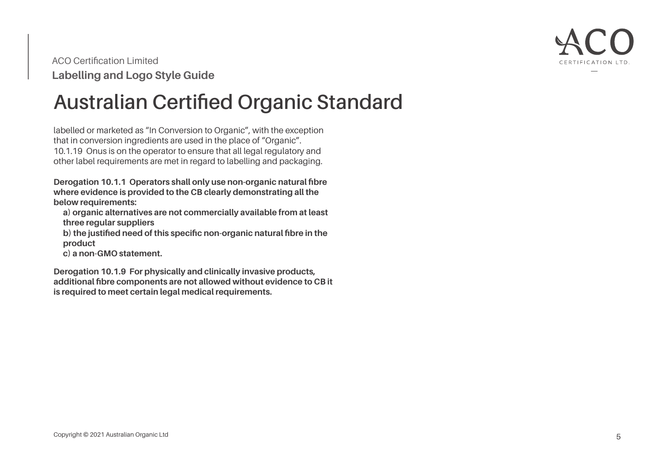

### **Australian Certified Organic Standard**

labelled or marketed as "In Conversion to Organic", with the exception that in conversion ingredients are used in the place of "Organic". 10.1.19 Onus is on the operator to ensure that all legal regulatory and other label requirements are met in regard to labelling and packaging.

**Derogation 10.1.1 Operators shall only use non-organic natural fibre where evidence is provided to the CB clearly demonstrating all the below requirements:**

**a) organic alternatives are not commercially available from at least three regular suppliers**

**b) the justified need of this specific non-organic natural fibre in the product**

**c) a non-GMO statement.**

**Derogation 10.1.9 For physically and clinically invasive products, additional fibre components are not allowed without evidence to CB it is required to meet certain legal medical requirements.**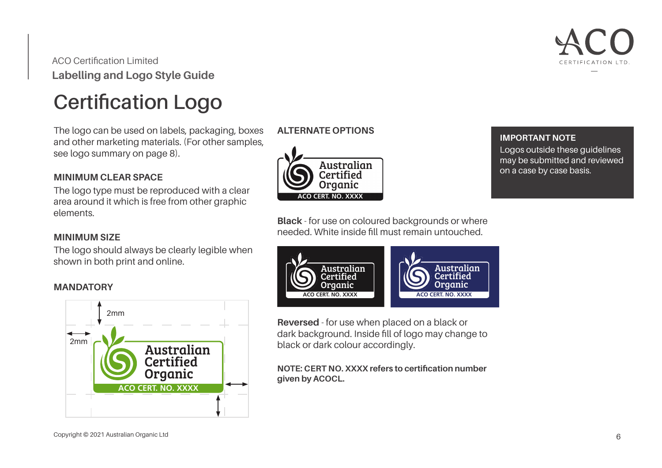

### **Certification Logo**

The logo can be used on labels, packaging, boxes and other marketing materials. (For other samples, see logo summary on page 8).

#### **MINIMUM CLEAR SPACE**

The logo type must be reproduced with a clear area around it which is free from other graphic elements.

#### **MINIMUM SIZE**

The logo should always be clearly legible when shown in both print and online.

#### **MANDATORY**



#### **ALTERNATE OPTIONS**



**Black** - for use on coloured backgrounds or where needed. White inside fill must remain untouched.



**Reversed** - for use when placed on a black or dark background. Inside fill of logo may change to black or dark colour accordingly.

**NOTE: CERT NO. XXXX refers to certification number given by ACOCL.**

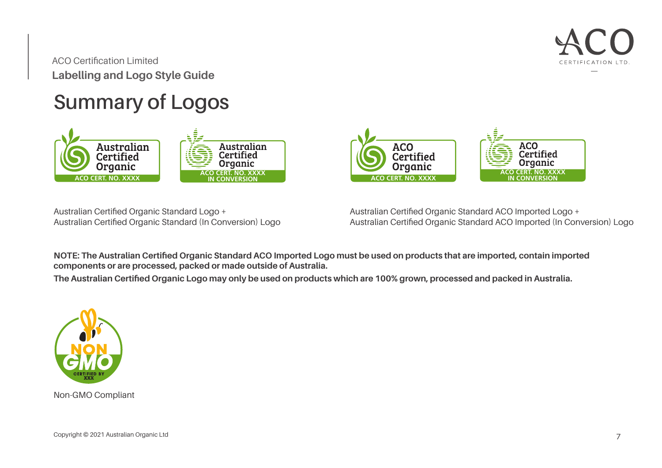

## **Summary of Logos**



Australian Certified Organic Standard Logo + Australian Certified Organic Standard (In Conversion) Logo Australian Certified Organic Standard ACO Imported Logo + Australian Certified Organic Standard ACO Imported (In Conversion) Logo

**ACO CERT, NO. XXXX** 

**ACO** 

Certified

Organic

**ACO CERT NO XXXX** 

**Certified** 

Organic

**ACO** 

**NOTE: The Australian Certified Organic Standard ACO Imported Logo must be used on products that are imported, contain imported components or are processed, packed or made outside of Australia.**

**The Australian Certified Organic Logo may only be used on products which are 100% grown, processed and packed in Australia.**



Non-GMO Compliant